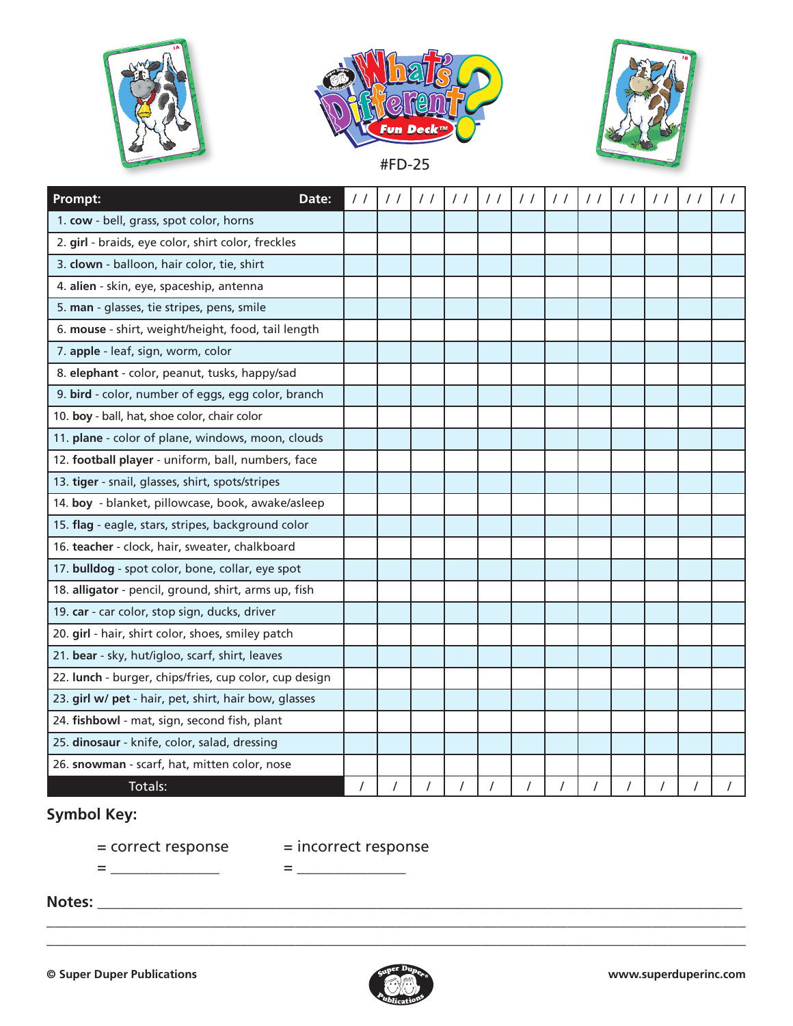





| <b>Prompt:</b><br>Date:                                | $\prime$ / | $\prime$ / | $\prime$ / | $\prime$ / | $\prime$ / | $\prime$ / | $\prime$ / | $\prime$ / | $\prime$ / |  |
|--------------------------------------------------------|------------|------------|------------|------------|------------|------------|------------|------------|------------|--|
| 1. cow - bell, grass, spot color, horns                |            |            |            |            |            |            |            |            |            |  |
| 2. girl - braids, eye color, shirt color, freckles     |            |            |            |            |            |            |            |            |            |  |
| 3. clown - balloon, hair color, tie, shirt             |            |            |            |            |            |            |            |            |            |  |
| 4. alien - skin, eye, spaceship, antenna               |            |            |            |            |            |            |            |            |            |  |
| 5. man - glasses, tie stripes, pens, smile             |            |            |            |            |            |            |            |            |            |  |
| 6. mouse - shirt, weight/height, food, tail length     |            |            |            |            |            |            |            |            |            |  |
| 7. apple - leaf, sign, worm, color                     |            |            |            |            |            |            |            |            |            |  |
| 8. elephant - color, peanut, tusks, happy/sad          |            |            |            |            |            |            |            |            |            |  |
| 9. bird - color, number of eggs, egg color, branch     |            |            |            |            |            |            |            |            |            |  |
| 10. boy - ball, hat, shoe color, chair color           |            |            |            |            |            |            |            |            |            |  |
| 11. plane - color of plane, windows, moon, clouds      |            |            |            |            |            |            |            |            |            |  |
| 12. football player - uniform, ball, numbers, face     |            |            |            |            |            |            |            |            |            |  |
| 13. tiger - snail, glasses, shirt, spots/stripes       |            |            |            |            |            |            |            |            |            |  |
| 14. boy - blanket, pillowcase, book, awake/asleep      |            |            |            |            |            |            |            |            |            |  |
| 15. flag - eagle, stars, stripes, background color     |            |            |            |            |            |            |            |            |            |  |
| 16. teacher - clock, hair, sweater, chalkboard         |            |            |            |            |            |            |            |            |            |  |
| 17. bulldog - spot color, bone, collar, eye spot       |            |            |            |            |            |            |            |            |            |  |
| 18. alligator - pencil, ground, shirt, arms up, fish   |            |            |            |            |            |            |            |            |            |  |
| 19. car - car color, stop sign, ducks, driver          |            |            |            |            |            |            |            |            |            |  |
| 20. girl - hair, shirt color, shoes, smiley patch      |            |            |            |            |            |            |            |            |            |  |
| 21. bear - sky, hut/igloo, scarf, shirt, leaves        |            |            |            |            |            |            |            |            |            |  |
| 22. lunch - burger, chips/fries, cup color, cup design |            |            |            |            |            |            |            |            |            |  |
| 23. girl w/ pet - hair, pet, shirt, hair bow, glasses  |            |            |            |            |            |            |            |            |            |  |
| 24. fishbowl - mat, sign, second fish, plant           |            |            |            |            |            |            |            |            |            |  |
| 25. dinosaur - knife, color, salad, dressing           |            |            |            |            |            |            |            |            |            |  |
| 26. snowman - scarf, hat, mitten color, nose           |            |            |            |            |            |            |            |            |            |  |
| Totals:                                                |            |            |            |            |            |            |            |            |            |  |

## **Symbol Key:**

= correct response = incorrect response

= \_\_\_\_\_\_\_\_\_\_\_\_\_\_ = \_\_\_\_\_\_\_\_\_\_\_\_\_\_

**Notes:** \_\_\_\_\_\_\_\_\_\_\_\_\_\_\_\_\_\_\_\_\_\_\_\_\_\_\_\_\_\_\_\_\_\_\_\_\_\_\_\_\_\_\_\_\_\_\_\_\_\_\_\_\_\_\_\_\_\_\_\_\_\_\_\_\_\_\_\_\_\_\_\_\_\_\_\_\_\_\_\_\_\_\_



\_\_\_\_\_\_\_\_\_\_\_\_\_\_\_\_\_\_\_\_\_\_\_\_\_\_\_\_\_\_\_\_\_\_\_\_\_\_\_\_\_\_\_\_\_\_\_\_\_\_\_\_\_\_\_\_\_\_\_\_\_\_\_\_\_\_\_\_\_\_\_\_\_\_\_\_\_\_\_\_\_\_\_\_\_\_\_\_\_\_